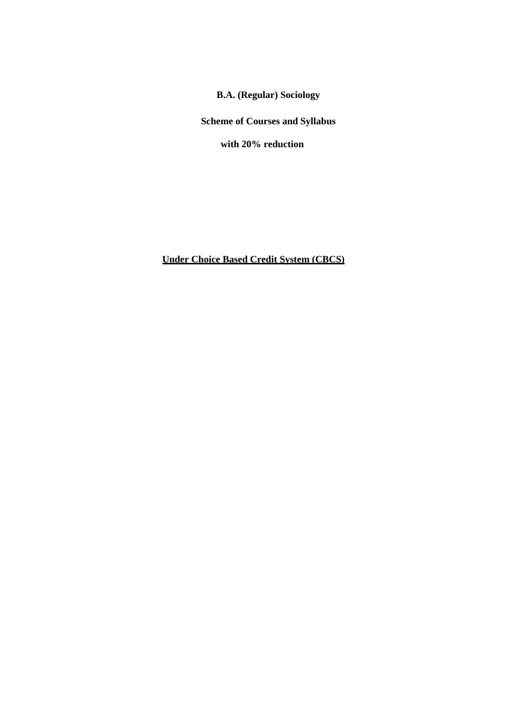**B.A. (Regular) Sociology**

**Scheme of Courses and Syllabus**

**with 20% reduction**

**Under Choice Based Credit System (CBCS)**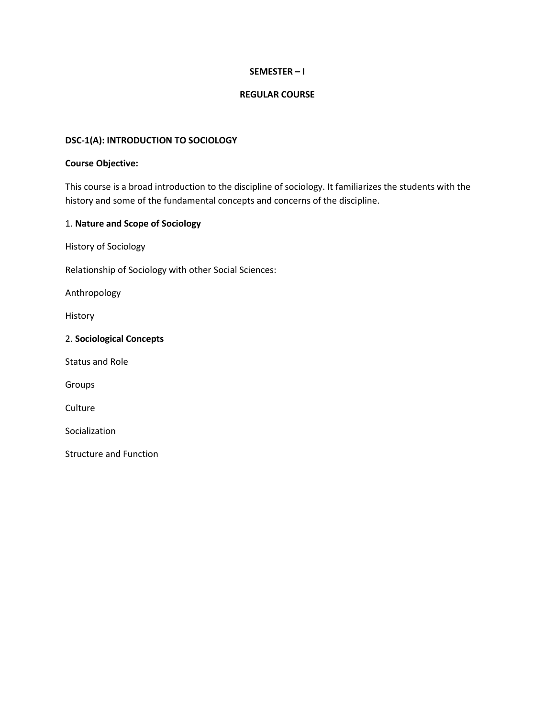# **SEMESTER – I**

#### **REGULAR COURSE**

#### **DSC-1(A): INTRODUCTION TO SOCIOLOGY**

#### **Course Objective:**

This course is a broad introduction to the discipline of sociology. It familiarizes the students with the history and some of the fundamental concepts and concerns of the discipline.

#### 1. **Nature and Scope of Sociology**

History of Sociology

Relationship of Sociology with other Social Sciences:

Anthropology

History

2. **Sociological Concepts**

Status and Role

Groups

**Culture** 

Socialization

Structure and Function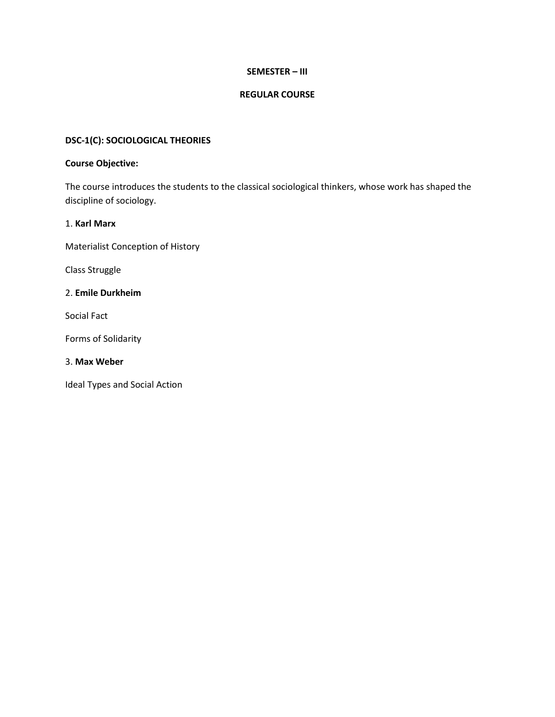# **SEMESTER – III**

# **REGULAR COURSE**

# **DSC-1(C): SOCIOLOGICAL THEORIES**

#### **Course Objective:**

The course introduces the students to the classical sociological thinkers, whose work has shaped the discipline of sociology.

# 1. **Karl Marx**

Materialist Conception of History

Class Struggle

### 2. **Emile Durkheim**

Social Fact

Forms of Solidarity

#### 3. **Max Weber**

Ideal Types and Social Action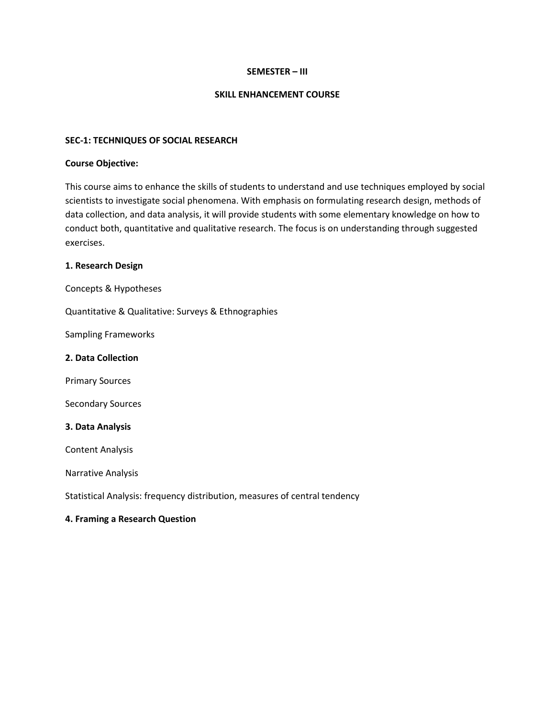#### **SEMESTER – III**

#### **SKILL ENHANCEMENT COURSE**

#### **SEC-1: TECHNIQUES OF SOCIAL RESEARCH**

#### **Course Objective:**

This course aims to enhance the skills of students to understand and use techniques employed by social scientists to investigate social phenomena. With emphasis on formulating research design, methods of data collection, and data analysis, it will provide students with some elementary knowledge on how to conduct both, quantitative and qualitative research. The focus is on understanding through suggested exercises.

#### **1. Research Design**

Concepts & Hypotheses

Quantitative & Qualitative: Surveys & Ethnographies

Sampling Frameworks

#### **2. Data Collection**

Primary Sources

Secondary Sources

#### **3. Data Analysis**

Content Analysis

Narrative Analysis

Statistical Analysis: frequency distribution, measures of central tendency

# **4. Framing a Research Question**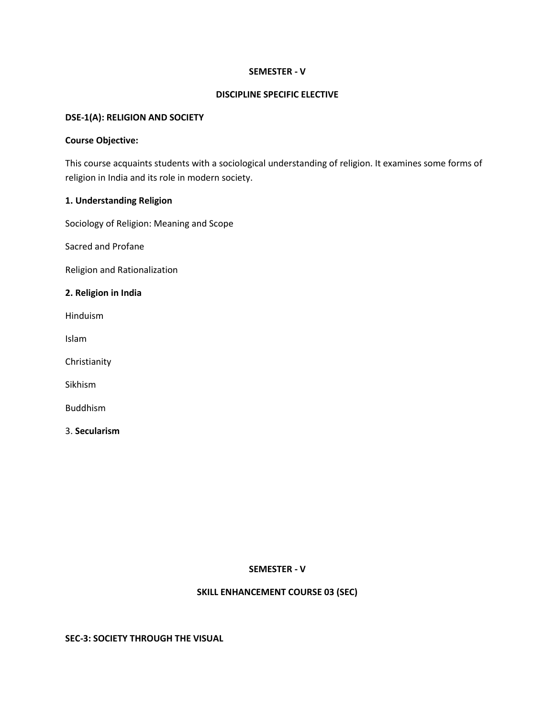#### **SEMESTER - V**

#### **DISCIPLINE SPECIFIC ELECTIVE**

#### **DSE-1(A): RELIGION AND SOCIETY**

#### **Course Objective:**

This course acquaints students with a sociological understanding of religion. It examines some forms of religion in India and its role in modern society.

# **1. Understanding Religion**

Sociology of Religion: Meaning and Scope

Sacred and Profane

Religion and Rationalization

#### **2. Religion in India**

Hinduism

Islam

Christianity

Sikhism

Buddhism

3. **Secularism** 

# **SEMESTER - V**

# **SKILL ENHANCEMENT COURSE 03 (SEC)**

#### **SEC-3: SOCIETY THROUGH THE VISUAL**